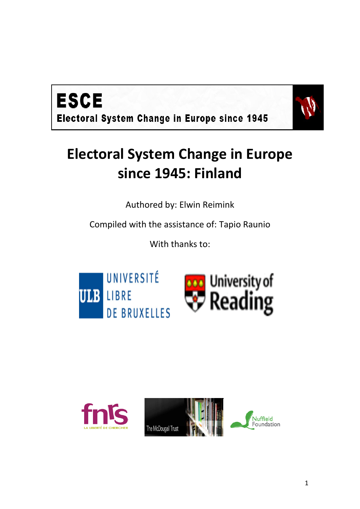



# **Electoral System Change in Europe since 1945: Finland**

Authored by: Elwin Reimink

Compiled with the assistance of: Tapio Raunio

With thanks to:





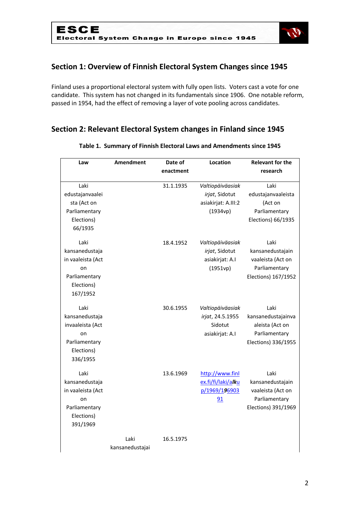

## **Section 1: Overview of Finnish Electoral System Changes since 1945**

Finland uses a proportional electoral system with fully open lists. Voters cast a vote for one candidate. This system has not changed in its fundamentals since 1906. One notable reform, passed in 1954, had the effect of removing a layer of vote pooling across candidates.

## **Section 2: Relevant Electoral System changes in Finland since 1945**

| Law                                                                                          | <b>Amendment</b>        | Date of   | Location                                                              | <b>Relevant for the</b>                                                               |
|----------------------------------------------------------------------------------------------|-------------------------|-----------|-----------------------------------------------------------------------|---------------------------------------------------------------------------------------|
|                                                                                              |                         | enactment |                                                                       | research                                                                              |
| Laki<br>edustajanvaalei<br>sta (Act on<br>Parliamentary<br>Elections)<br>66/1935             |                         | 31.1.1935 | Valtiopäiväasiak<br>irjat, Sidotut<br>asiakirjat: A.III:2<br>(1934vp) | Laki<br>edustajanvaaleista<br>(Act on<br>Parliamentary<br>Elections) 66/1935          |
| Laki<br>kansanedustaja<br>in vaaleista (Act<br>on<br>Parliamentary<br>Elections)<br>167/1952 |                         | 18.4.1952 | Valtiopäiväasiak<br>irjat, Sidotut<br>asiakirjat: A.I<br>(1951vp)     | Laki<br>kansanedustajain<br>vaaleista (Act on<br>Parliamentary<br>Elections) 167/1952 |
| Laki<br>kansanedustaja<br>invaaleista (Act<br>on<br>Parliamentary<br>Elections)<br>336/1955  |                         | 30.6.1955 | Valtiopäiväasiak<br>irjat, 24.5.1955<br>Sidotut<br>asiakirjat: A.I    | Laki<br>kansanedustajainva<br>aleista (Act on<br>Parliamentary<br>Elections) 336/1955 |
| Laki<br>kansanedustaja<br>in vaaleista (Act<br>on<br>Parliamentary<br>Elections)<br>391/1969 |                         | 13.6.1969 | http://www.finl<br>ex.fi/fi/laki/alku<br>p/1969/196903<br>91          | Laki<br>kansanedustajain<br>vaaleista (Act on<br>Parliamentary<br>Elections) 391/1969 |
|                                                                                              | Laki<br>kansanedustajai | 16.5.1975 |                                                                       |                                                                                       |

#### **Table 1. Summary of Finnish Electoral Laws and Amendments since 1945**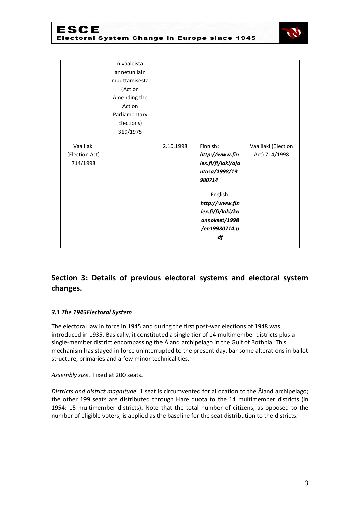| ESCE                                    |                                         |           | Electoral System Change in Europe since 1945                                |                                      |
|-----------------------------------------|-----------------------------------------|-----------|-----------------------------------------------------------------------------|--------------------------------------|
|                                         | n vaaleista<br>annetun lain             |           |                                                                             |                                      |
|                                         | muuttamisesta<br>(Act on                |           |                                                                             |                                      |
|                                         | Amending the<br>Act on<br>Parliamentary |           |                                                                             |                                      |
|                                         | Elections)<br>319/1975                  |           |                                                                             |                                      |
| Vaalilaki<br>(Election Act)<br>714/1998 |                                         | 2.10.1998 | Finnish:<br>http://www.fin<br>lex.fi/fi/laki/aja<br>ntasa/1998/19<br>980714 | Vaalilaki (Election<br>Act) 714/1998 |
|                                         |                                         |           | English:<br>http://www.fin<br>lex.fi/fi/laki/ka<br>annokset/1998            |                                      |
|                                         |                                         |           | /en19980714.p<br>df                                                         |                                      |

# **Section 3: Details of previous electoral systems and electoral system changes.**

#### *3.1 The 1945Electoral System*

The electoral law in force in 1945 and during the first post-war elections of 1948 was introduced in 1935. Basically, it constituted a single tier of 14 multimember districts plus a single-member district encompassing the Åland archipelago in the Gulf of Bothnia. This mechanism has stayed in force uninterrupted to the present day, bar some alterations in ballot structure, primaries and a few minor technicalities.

*Assembly size*. Fixed at 200 seats.

*Districts and district magnitude*. 1 seat is circumvented for allocation to the Åland archipelago; the other 199 seats are distributed through Hare quota to the 14 multimember districts (in 1954: 15 multimember districts). Note that the total number of citizens, as opposed to the number of eligible voters, is applied as the baseline for the seat distribution to the districts.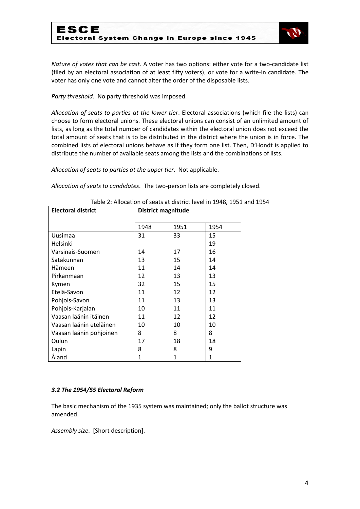

*Nature of votes that can be cast*. A voter has two options: either vote for a two-candidate list (filed by an electoral association of at least fifty voters), or vote for a write-in candidate. The voter has only one vote and cannot alter the order of the disposable lists.

*Party threshold*. No party threshold was imposed.

*Allocation of seats to parties at the lower tier*. Electoral associations (which file the lists) can choose to form electoral unions. These electoral unions can consist of an unlimited amount of lists, as long as the total number of candidates within the electoral union does not exceed the total amount of seats that is to be distributed in the district where the union is in force. The combined lists of electoral unions behave as if they form one list. Then, D'Hondt is applied to distribute the number of available seats among the lists and the combinations of lists.

*Allocation of seats to parties at the upper tier*. Not applicable.

*Allocation of seats to candidates*. The two-person lists are completely closed.

| <b>Electoral district</b> | <b>District magnitude</b> |      |      |  |
|---------------------------|---------------------------|------|------|--|
|                           | 1948                      | 1951 | 1954 |  |
| Uusimaa                   | 31                        | 33   | 15   |  |
| Helsinki                  |                           |      | 19   |  |
| Varsinais-Suomen          | 14                        | 17   | 16   |  |
| Satakunnan                | 13                        | 15   | 14   |  |
| Hämeen                    | 11                        | 14   | 14   |  |
| Pirkanmaan                | 12                        | 13   | 13   |  |
| Kymen                     | 32                        | 15   | 15   |  |
| Etelä-Savon               | 11                        | 12   | 12   |  |
| Pohjois-Savon             | 11                        | 13   | 13   |  |
| Pohjois-Karjalan          | 10                        | 11   | 11   |  |
| Vaasan läänin itäinen     | 11                        | 12   | 12   |  |
| Vaasan läänin eteläinen   | 10                        | 10   | 10   |  |
| Vaasan läänin pohjoinen   | 8                         | 8    | 8    |  |
| Oulun                     | 17                        | 18   | 18   |  |
| Lapin                     | 8                         | 8    | 9    |  |
| Åland                     | 1                         | 1    | 1    |  |

Table 2: Allocation of seats at district level in 1948, 1951 and 1954

#### *3.2 The 1954/55 Electoral Reform*

The basic mechanism of the 1935 system was maintained; only the ballot structure was amended.

*Assembly size*. [Short description].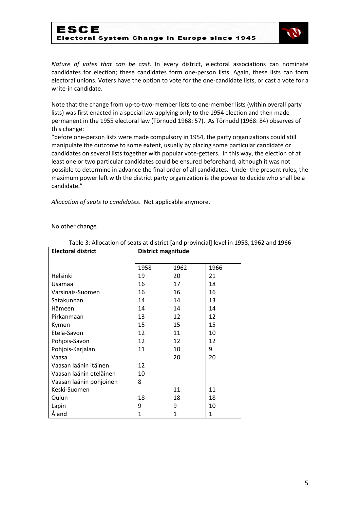## ESCE Electoral System Change in Europe since 1945



*Nature of votes that can be cast*. In every district, electoral associations can nominate candidates for election; these candidates form one-person lists. Again, these lists can form electoral unions. Voters have the option to vote for the one-candidate lists, or cast a vote for a write-in candidate.

Note that the change from up-to-two-member lists to one-member lists (within overall party lists) was first enacted in a special law applying only to the 1954 election and then made permanent in the 1955 electoral law (Törnudd 1968: 57). As Törnudd (1968: 84) observes of this change:

"before one-person lists were made compulsory in 1954, the party organizations could still manipulate the outcome to some extent, usually by placing some particular candidate or candidates on several lists together with popular vote-getters. In this way, the election of at least one or two particular candidates could be ensured beforehand, although it was not possible to determine in advance the final order of all candidates. Under the present rules, the maximum power left with the district party organization is the power to decide who shall be a candidate."

*Allocation of seats to candidates*. Not applicable anymore.

No other change.

| <b>Electoral district</b> | District magnitude |              |      |
|---------------------------|--------------------|--------------|------|
|                           | 1958               | 1962         | 1966 |
| Helsinki                  | 19                 | 20           | 21   |
| Usamaa                    | 16                 | 17           | 18   |
| Varsinais-Suomen          | 16                 | 16           | 16   |
| Satakunnan                | 14                 | 14           | 13   |
| Hämeen                    | 14                 | 14           | 14   |
| Pirkanmaan                | 13                 | 12           | 12   |
| Kymen                     | 15                 | 15           | 15   |
| Etelä-Savon               | 12                 | 11           | 10   |
| Pohjois-Savon             | 12                 | 12           | 12   |
| Pohjois-Karjalan          | 11                 | 10           | 9    |
| Vaasa                     |                    | 20           | 20   |
| Vaasan läänin itäinen     | 12                 |              |      |
| Vaasan läänin eteläinen   | 10                 |              |      |
| Vaasan läänin pohjoinen   | 8                  |              |      |
| Keski-Suomen              |                    | 11           | 11   |
| Oulun                     | 18                 | 18           | 18   |
| Lapin                     | 9                  | 9            | 10   |
| Åland                     | 1                  | $\mathbf{1}$ | 1    |

Table 3: Allocation of seats at district [and provincial] level in 1958, 1962 and 1966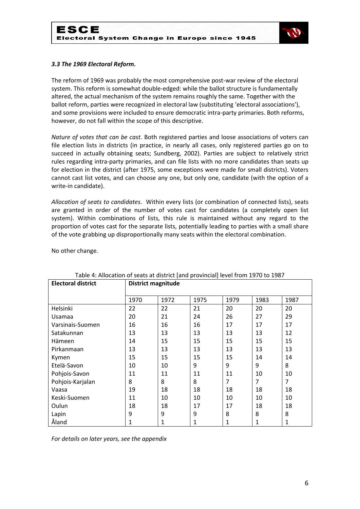

#### *3.3 The 1969 Electoral Reform.*

The reform of 1969 was probably the most comprehensive post-war review of the electoral system. This reform is somewhat double-edged: while the ballot structure is fundamentally altered, the actual mechanism of the system remains roughly the same. Together with the ballot reform, parties were recognized in electoral law (substituting 'electoral associations'), and some provisions were included to ensure democratic intra-party primaries. Both reforms, however, do not fall within the scope of this descriptive.

*Nature of votes that can be cast*. Both registered parties and loose associations of voters can file election lists in districts (in practice, in nearly all cases, only registered parties go on to succeed in actually obtaining seats; Sundberg, 2002). Parties are subject to relatively strict rules regarding intra-party primaries, and can file lists with no more candidates than seats up for election in the district (after 1975, some exceptions were made for small districts). Voters cannot cast list votes, and can choose any one, but only one, candidate (with the option of a write-in candidate).

*Allocation of seats to candidates*. Within every lists (or combination of connected lists), seats are granted in order of the number of votes cast for candidates (a completely open list system). Within combinations of lists, this rule is maintained without any regard to the proportion of votes cast for the separate lists, potentially leading to parties with a small share of the vote grabbing up disproportionally many seats within the electoral combination.

No other change.

| <b>Electoral district</b> | <b>District magnitude</b> |      |      |      |      |                |
|---------------------------|---------------------------|------|------|------|------|----------------|
|                           | 1970                      | 1972 | 1975 | 1979 | 1983 | 1987           |
| Helsinki                  | 22                        | 22   | 21   | 20   | 20   | 20             |
| Usamaa                    | 20                        | 21   | 24   | 26   | 27   | 29             |
| Varsinais-Suomen          | 16                        | 16   | 16   | 17   | 17   | 17             |
| Satakunnan                | 13                        | 13   | 13   | 13   | 13   | 12             |
| Hämeen                    | 14                        | 15   | 15   | 15   | 15   | 15             |
| Pirkanmaan                | 13                        | 13   | 13   | 13   | 13   | 13             |
| Kymen                     | 15                        | 15   | 15   | 15   | 14   | 14             |
| Etelä-Savon               | 10                        | 10   | 9    | 9    | 9    | 8              |
| Pohjois-Savon             | 11                        | 11   | 11   | 11   | 10   | 10             |
| Pohjois-Karjalan          | 8                         | 8    | 8    | 7    | 7    | $\overline{7}$ |
| Vaasa                     | 19                        | 18   | 18   | 18   | 18   | 18             |
| Keski-Suomen              | 11                        | 10   | 10   | 10   | 10   | 10             |
| Oulun                     | 18                        | 18   | 17   | 17   | 18   | 18             |
| Lapin                     | 9                         | 9    | 9    | 8    | 8    | 8              |
| Åland                     | 1                         | 1    | 1    | 1    | 1    | 1              |

#### Table 4: Allocation of seats at district [and provincial] level from 1970 to 1987

*For details on later years, see the appendix*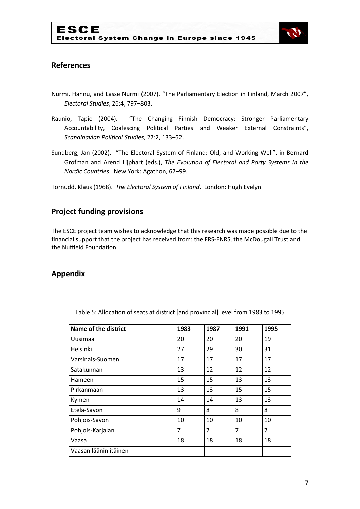

## **References**

- Nurmi, Hannu, and Lasse Nurmi (2007), "The Parliamentary Election in Finland, March 2007", *Electoral Studies*, 26:4, 797–803.
- Raunio, Tapio (2004). "The Changing Finnish Democracy: Stronger Parliamentary Accountability, Coalescing Political Parties and Weaker External Constraints", *Scandinavian Political Studies*, 27:2, 133–52.
- Sundberg, Jan (2002). "The Electoral System of Finland: Old, and Working Well", in Bernard Grofman and Arend Lijphart (eds.), *The Evolution of Electoral and Party Systems in the Nordic Countries*. New York: Agathon, 67–99.

Törnudd, Klaus (1968). *The Electoral System of Finland*. London: Hugh Evelyn.

## **Project funding provisions**

The ESCE project team wishes to acknowledge that this research was made possible due to the financial support that the project has received from: the FRS-FNRS, the McDougall Trust and the Nuffield Foundation.

### **Appendix**

| <b>Name of the district</b> | 1983 | 1987 | 1991 | 1995 |
|-----------------------------|------|------|------|------|
| Uusimaa                     | 20   | 20   | 20   | 19   |
| Helsinki                    | 27   | 29   | 30   | 31   |
| Varsinais-Suomen            | 17   | 17   | 17   | 17   |
| Satakunnan                  | 13   | 12   | 12   | 12   |
| Hämeen                      | 15   | 15   | 13   | 13   |
| Pirkanmaan                  | 13   | 13   | 15   | 15   |
| Kymen                       | 14   | 14   | 13   | 13   |
| Etelä-Savon                 | 9    | 8    | 8    | 8    |
| Pohjois-Savon               | 10   | 10   | 10   | 10   |
| Pohjois-Karjalan            | 7    | 7    | 7    | 7    |
| Vaasa                       | 18   | 18   | 18   | 18   |
| Vaasan läänin itäinen       |      |      |      |      |

Table 5: Allocation of seats at district [and provincial] level from 1983 to 1995